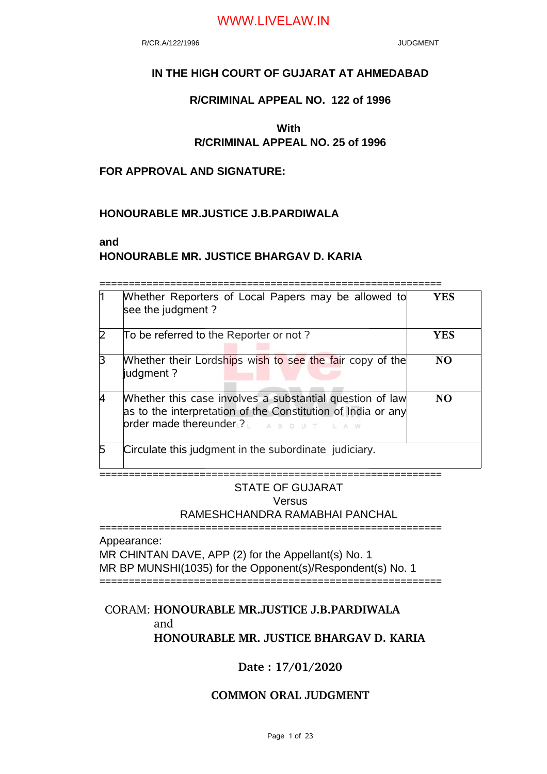R/CR.A/122/1996 JUDGMENT

### **IN THE HIGH COURT OF GUJARAT AT AHMEDABAD**

### **R/CRIMINAL APPEAL NO. 122 of 1996**

# **With**

## **R/CRIMINAL APPEAL NO. 25 of 1996**

### **FOR APPROVAL AND SIGNATURE:**

### **HONOURABLE MR.JUSTICE J.B.PARDIWALA**

#### **and**

### **HONOURABLE MR. JUSTICE BHARGAV D. KARIA**

==========================================================

|  | Whether Reporters of Local Papers may be allowed to<br>see the judgment?                                                                                               | YES             |
|--|------------------------------------------------------------------------------------------------------------------------------------------------------------------------|-----------------|
|  | To be referred to the Reporter or not?                                                                                                                                 | YES             |
|  | Whether their Lordships wish to see the fair copy of the<br>judgment?                                                                                                  | NO.             |
|  | Whether this case involves a substantial question of law<br>as to the interpretation of the Constitution of India or any<br>order made thereunder ?<br>A B O U T L A W | NO <sub>1</sub> |
|  | Circulate this judgment in the subordinate judiciary.                                                                                                                  |                 |
|  |                                                                                                                                                                        |                 |

## STATE OF GUJARAT Versus RAMESHCHANDRA RAMABHAI PANCHAL

========================================================== Appearance:

MR CHINTAN DAVE, APP (2) for the Appellant(s) No. 1 MR BP MUNSHI(1035) for the Opponent(s)/Respondent(s) No. 1

==========================================================

## CORAM: **HONOURABLE MR.JUSTICE J.B.PARDIWALA** and **HONOURABLE MR. JUSTICE BHARGAV D. KARIA**

### **Date : 17/01/2020**

### **COMMON ORAL JUDGMENT**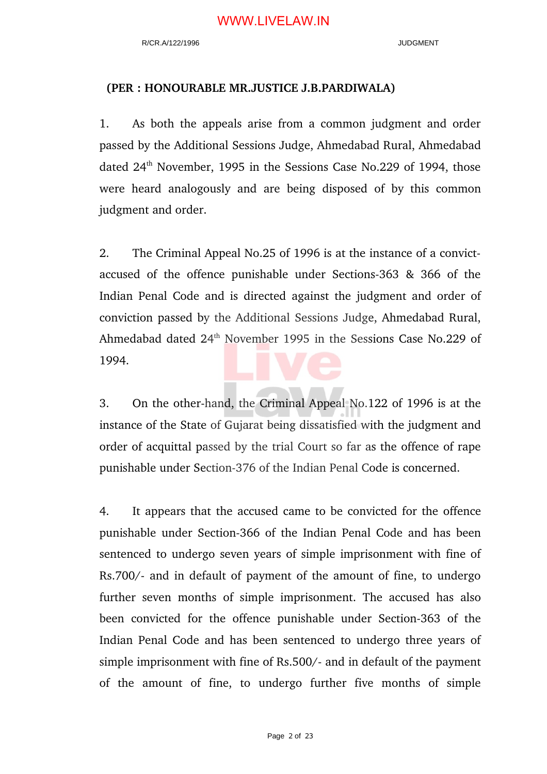#### **(PER : HONOURABLE MR.JUSTICE J.B.PARDIWALA)**

1. As both the appeals arise from a common judgment and order passed by the Additional Sessions Judge, Ahmedabad Rural, Ahmedabad dated 24<sup>th</sup> November, 1995 in the Sessions Case No.229 of 1994, those were heard analogously and are being disposed of by this common judgment and order.

2. The Criminal Appeal No.25 of 1996 is at the instance of a convictaccused of the offence punishable under Sections-363  $\&$  366 of the Indian Penal Code and is directed against the judgment and order of conviction passed by the Additional Sessions Judge, Ahmedabad Rural, Ahmedabad dated 24<sup>th</sup> November 1995 in the Sessions Case No.229 of 1994.

3. On the other-hand, the Criminal Appeal No.122 of 1996 is at the instance of the State of Gujarat being dissatisfied with the judgment and order of acquittal passed by the trial Court so far as the offence of rape punishable under Section-376 of the Indian Penal Code is concerned.

4. It appears that the accused came to be convicted for the offence punishable under Section-366 of the Indian Penal Code and has been sentenced to undergo seven years of simple imprisonment with fine of Rs.700/- and in default of payment of the amount of fine, to undergo further seven months of simple imprisonment. The accused has also been convicted for the offence punishable under Section-363 of the Indian Penal Code and has been sentenced to undergo three years of simple imprisonment with fine of Rs.500/- and in default of the payment of the amount of fine, to undergo further five months of simple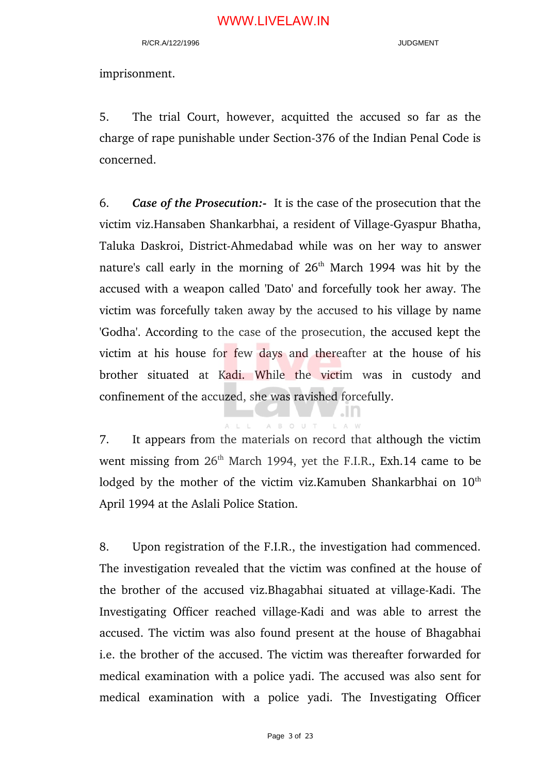imprisonment.

5. The trial Court, however, acquitted the accused so far as the charge of rape punishable under Section-376 of the Indian Penal Code is concerned.

6. *Case of the Prosecution:* It is the case of the prosecution that the victim viz.Hansaben Shankarbhai, a resident of Village-Gyaspur Bhatha, Taluka Daskroi, District-Ahmedabad while was on her way to answer nature's call early in the morning of  $26<sup>th</sup>$  March 1994 was hit by the accused with a weapon called 'Dato' and forcefully took her away. The victim was forcefully taken away by the accused to his village by name 'Godha'. According to the case of the prosecution, the accused kept the victim at his house for few days and thereafter at the house of his brother situated at Kadi. While the victim was in custody and confinement of the accuzed, she was ravished forcefully.

A B O U T

7. It appears from the materials on record that although the victim went missing from 26<sup>th</sup> March 1994, yet the F.I.R., Exh.14 came to be lodged by the mother of the victim viz.Kamuben Shankarbhai on 10<sup>th</sup> April 1994 at the Aslali Police Station.

8. Upon registration of the F.I.R., the investigation had commenced. The investigation revealed that the victim was confined at the house of the brother of the accused viz. Bhagabhai situated at village-Kadi. The Investigating Officer reached village-Kadi and was able to arrest the accused. The victim was also found present at the house of Bhagabhai i.e. the brother of the accused. The victim was thereafter forwarded for medical examination with a police yadi. The accused was also sent for medical examination with a police yadi. The Investigating Officer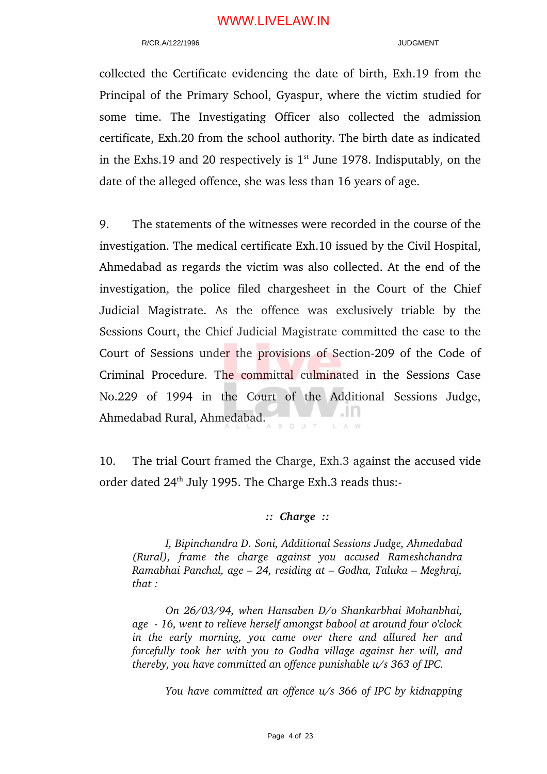#### R/CR.A/122/1996 **JUDGMENT**

collected the Certificate evidencing the date of birth, Exh.19 from the Principal of the Primary School, Gyaspur, where the victim studied for some time. The Investigating Officer also collected the admission certificate, Exh.20 from the school authority. The birth date as indicated in the Exhs.19 and 20 respectively is  $1<sup>st</sup>$  June 1978. Indisputably, on the date of the alleged offence, she was less than 16 years of age.

9. The statements of the witnesses were recorded in the course of the investigation. The medical certificate Exh.10 issued by the Civil Hospital, Ahmedabad as regards the victim was also collected. At the end of the investigation, the police filed chargesheet in the Court of the Chief Judicial Magistrate. As the offence was exclusively triable by the Sessions Court, the Chief Judicial Magistrate committed the case to the Court of Sessions under the provisions of Section-209 of the Code of Criminal Procedure. The committal culminated in the Sessions Case No.229 of 1994 in the Court of the Additional Sessions Judge, Ahmedabad Rural, Ahmedabad. ыn

10. The trial Court framed the Charge, Exh.3 against the accused vide order dated 24<sup>th</sup> July 1995. The Charge Exh.3 reads thus:-

#### *:: Charge ::*

*I, Bipinchandra D. Soni, Additional Sessions Judge, Ahmedabad (Rural), frame the charge against you accused Rameshchandra Ramabhai Panchal, age – 24, residing at – Godha, Taluka – Meghraj, that :*

*On 26/03/94, when Hansaben D/o Shankarbhai Mohanbhai, age 16, went to relieve herself amongst babool at around four o'clock in the early morning, you came over there and allured her and forcefully took her with you to Godha village against her will, and thereby, you have committed an offence punishable u/s 363 of IPC.*

*You have committed an offence u/s 366 of IPC by kidnapping*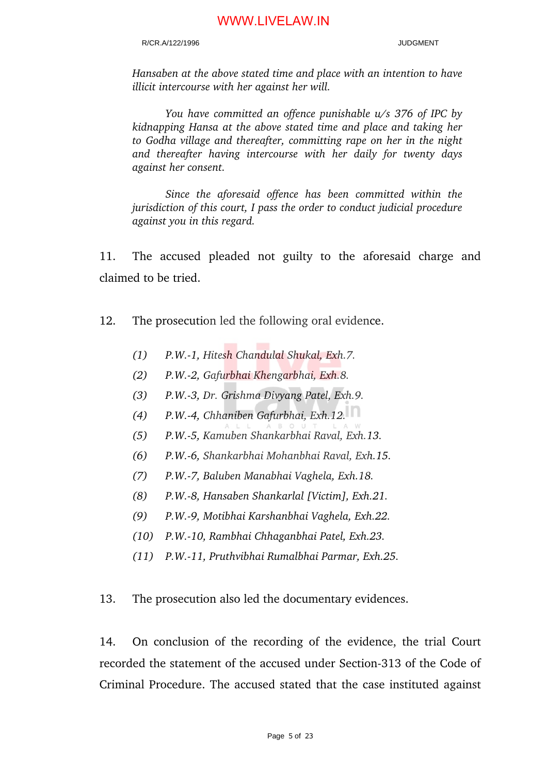#### R/CR.A/122/1996 JUDGMENT

*Hansaben at the above stated time and place with an intention to have illicit intercourse with her against her will.*

*You have committed an offence punishable u/s 376 of IPC by kidnapping Hansa at the above stated time and place and taking her to Godha village and thereafter, committing rape on her in the night and thereafter having intercourse with her daily for twenty days against her consent.*

*Since the aforesaid offence has been committed within the jurisdiction of this court, I pass the order to conduct judicial procedure against you in this regard.*

11. The accused pleaded not guilty to the aforesaid charge and claimed to be tried.

- 12. The prosecution led the following oral evidence.
	- *(1) P.W.1, Hitesh Chandulal Shukal, Exh.7.*
	- *(2) P.W.2, Gafurbhai Khengarbhai, Exh.8.*
	- *(3) P.W.3, Dr. Grishma Divyang Patel, Exh.9.*
	- *(4) P.W.4, Chhaniben Gafurbhai, Exh.12.*
	- *(5) P.W.5, Kamuben Shankarbhai Raval, Exh.13.*
	- *(6) P.W.6, Shankarbhai Mohanbhai Raval, Exh.15.*
	- *(7) P.W.7, Baluben Manabhai Vaghela, Exh.18.*
	- *(8) P.W.8, Hansaben Shankarlal [Victim], Exh.21.*
	- *(9) P.W.9, Motibhai Karshanbhai Vaghela, Exh.22.*
	- *(10) P.W.10, Rambhai Chhaganbhai Patel, Exh.23.*
	- *(11) P.W.11, Pruthvibhai Rumalbhai Parmar, Exh.25.*

13. The prosecution also led the documentary evidences.

14. On conclusion of the recording of the evidence, the trial Court recorded the statement of the accused under Section-313 of the Code of Criminal Procedure. The accused stated that the case instituted against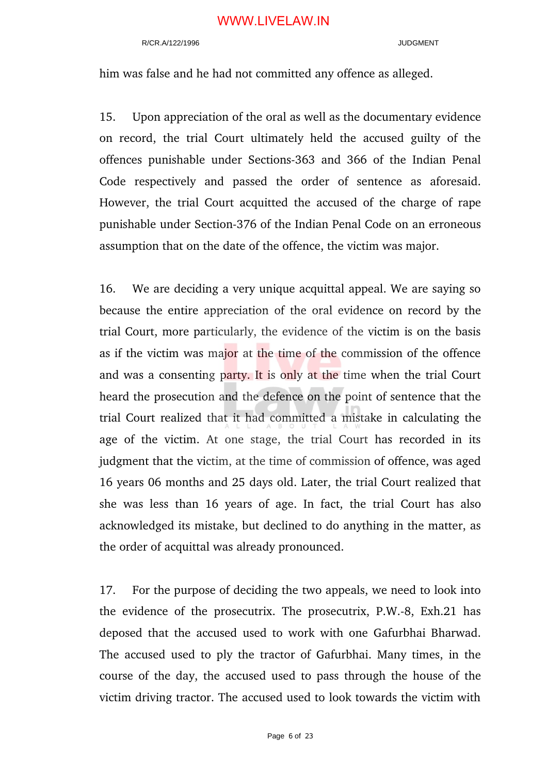#### R/CR A/122/1996 JUDGMENT

him was false and he had not committed any offence as alleged.

15. Upon appreciation of the oral as well as the documentary evidence on record, the trial Court ultimately held the accused guilty of the offences punishable under Sections-363 and 366 of the Indian Penal Code respectively and passed the order of sentence as aforesaid. However, the trial Court acquitted the accused of the charge of rape punishable under Section-376 of the Indian Penal Code on an erroneous assumption that on the date of the offence, the victim was major.

16. We are deciding a very unique acquittal appeal. We are saying so because the entire appreciation of the oral evidence on record by the trial Court, more particularly, the evidence of the victim is on the basis as if the victim was major at the time of the commission of the offence and was a consenting party. It is only at the time when the trial Court heard the prosecution and the defence on the point of sentence that the trial Court realized that it had committed a mistake in calculating the age of the victim. At one stage, the trial Court has recorded in its judgment that the victim, at the time of commission of offence, was aged 16 years 06 months and 25 days old. Later, the trial Court realized that she was less than 16 years of age. In fact, the trial Court has also acknowledged its mistake, but declined to do anything in the matter, as the order of acquittal was already pronounced.

17. For the purpose of deciding the two appeals, we need to look into the evidence of the prosecutrix. The prosecutrix, P.W.-8, Exh.21 has deposed that the accused used to work with one Gafurbhai Bharwad. The accused used to ply the tractor of Gafurbhai. Many times, in the course of the day, the accused used to pass through the house of the victim driving tractor. The accused used to look towards the victim with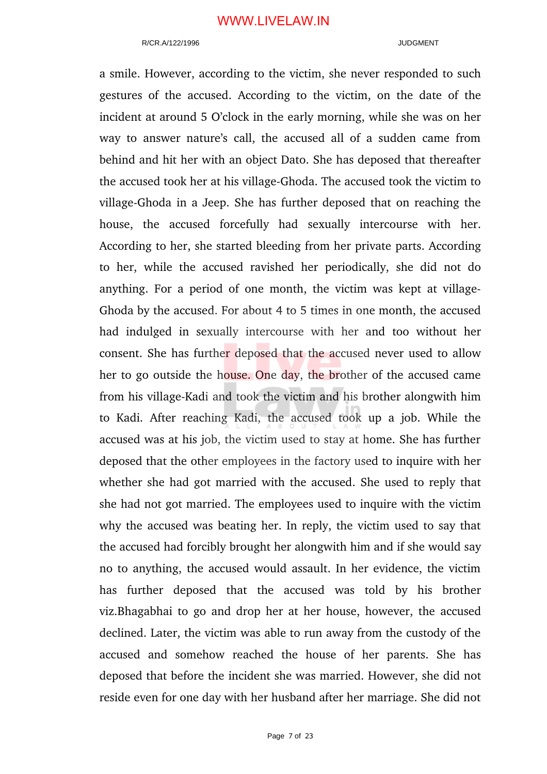#### R/CR.A/122/1996 JUDGMENT

a smile. However, according to the victim, she never responded to such gestures of the accused. According to the victim, on the date of the incident at around 5 O'clock in the early morning, while she was on her way to answer nature's call, the accused all of a sudden came from behind and hit her with an object Dato. She has deposed that thereafter the accused took her at his village-Ghoda. The accused took the victim to village-Ghoda in a Jeep. She has further deposed that on reaching the house, the accused forcefully had sexually intercourse with her. According to her, she started bleeding from her private parts. According to her, while the accused ravished her periodically, she did not do anything. For a period of one month, the victim was kept at village-Ghoda by the accused. For about 4 to 5 times in one month, the accused had indulged in sexually intercourse with her and too without her consent. She has further deposed that the accused never used to allow her to go outside the house. One day, the brother of the accused came from his village-Kadi and took the victim and his brother alongwith him to Kadi. After reaching Kadi, the accused took up a job. While the accused was at his job, the victim used to stay at home. She has further deposed that the other employees in the factory used to inquire with her whether she had got married with the accused. She used to reply that she had not got married. The employees used to inquire with the victim why the accused was beating her. In reply, the victim used to say that the accused had forcibly brought her alongwith him and if she would say no to anything, the accused would assault. In her evidence, the victim has further deposed that the accused was told by his brother viz.Bhagabhai to go and drop her at her house, however, the accused declined. Later, the victim was able to run away from the custody of the accused and somehow reached the house of her parents. She has deposed that before the incident she was married. However, she did not reside even for one day with her husband after her marriage. She did not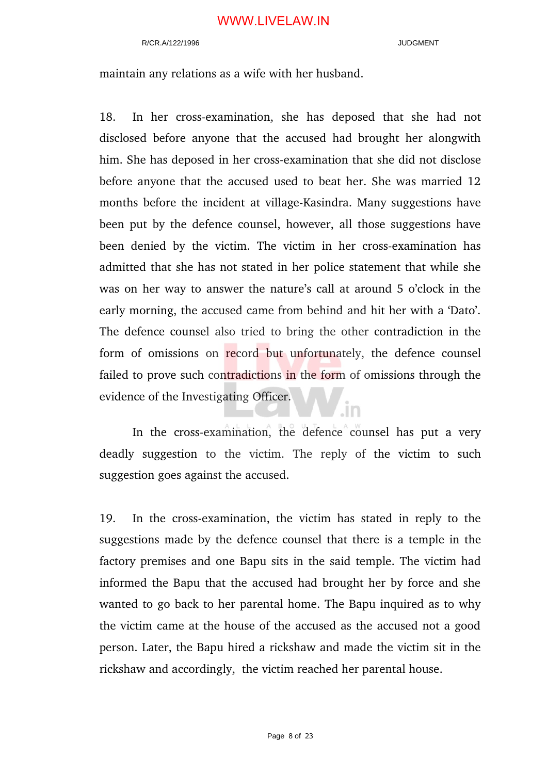#### R/CR A/122/1996 JUDGMENT

maintain any relations as a wife with her husband.

18. In her cross-examination, she has deposed that she had not disclosed before anyone that the accused had brought her alongwith him. She has deposed in her cross-examination that she did not disclose before anyone that the accused used to beat her. She was married 12 months before the incident at village-Kasindra. Many suggestions have been put by the defence counsel, however, all those suggestions have been denied by the victim. The victim in her cross-examination has admitted that she has not stated in her police statement that while she was on her way to answer the nature's call at around 5 o'clock in the early morning, the accused came from behind and hit her with a 'Dato'. The defence counsel also tried to bring the other contradiction in the form of omissions on record but unfortunately, the defence counsel failed to prove such contradictions in the form of omissions through the evidence of the Investigating Officer.

In the cross-examination, the defence counsel has put a very deadly suggestion to the victim. The reply of the victim to such suggestion goes against the accused.

.in

19. In the crossexamination, the victim has stated in reply to the suggestions made by the defence counsel that there is a temple in the factory premises and one Bapu sits in the said temple. The victim had informed the Bapu that the accused had brought her by force and she wanted to go back to her parental home. The Bapu inquired as to why the victim came at the house of the accused as the accused not a good person. Later, the Bapu hired a rickshaw and made the victim sit in the rickshaw and accordingly, the victim reached her parental house.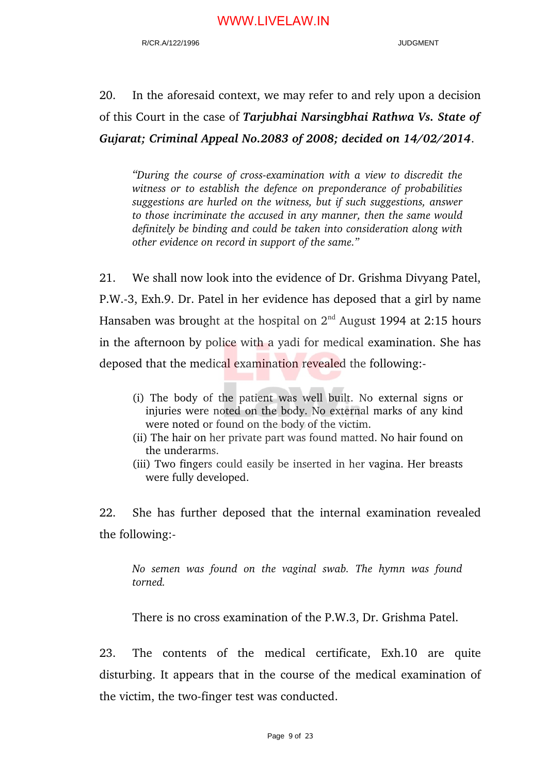20. In the aforesaid context, we may refer to and rely upon a decision of this Court in the case of *Tarjubhai Narsingbhai Rathwa Vs. State of Gujarat; Criminal Appeal No.2083 of 2008; decided on 14/02/2014*.

"During the course of cross-examination with a view to discredit the *witness or to establish the defence on preponderance of probabilities suggestions are hurled on the witness, but if such suggestions, answer to those incriminate the accused in any manner, then the same would definitely be binding and could be taken into consideration along with other evidence on record in support of the same."*

21. We shall now look into the evidence of Dr. Grishma Divyang Patel, P.W.3, Exh.9. Dr. Patel in her evidence has deposed that a girl by name Hansaben was brought at the hospital on  $2<sup>nd</sup>$  August 1994 at 2:15 hours in the afternoon by police with a yadi for medical examination. She has deposed that the medical examination revealed the following:

- (i) The body of the patient was well built. No external signs or injuries were noted on the body. No external marks of any kind were noted or found on the body of the victim.
- (ii) The hair on her private part was found matted. No hair found on the underarms.
- (iii) Two fingers could easily be inserted in her vagina. Her breasts were fully developed.

22. She has further deposed that the internal examination revealed the following:

*No semen was found on the vaginal swab. The hymn was found torned.*

There is no cross examination of the P.W.3, Dr. Grishma Patel.

23. The contents of the medical certificate, Exh.10 are quite disturbing. It appears that in the course of the medical examination of the victim, the two-finger test was conducted.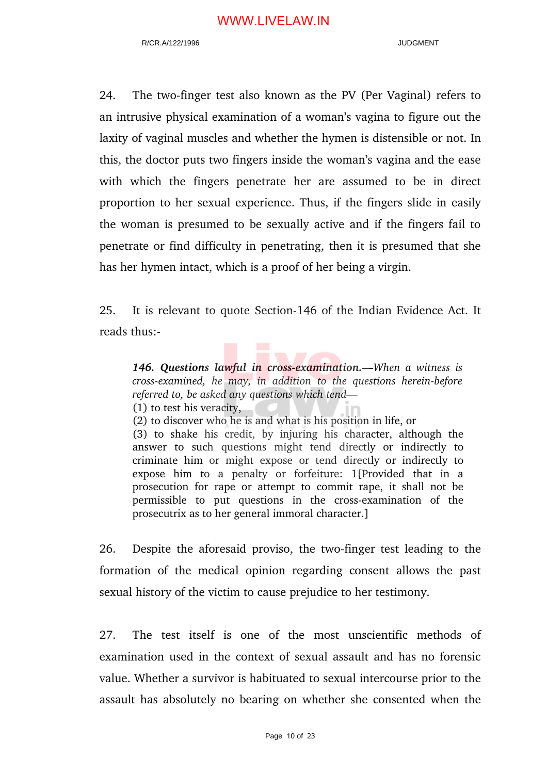24. The two-finger test also known as the PV (Per Vaginal) refers to an intrusive physical examination of a woman's vagina to figure out the laxity of vaginal muscles and whether the hymen is distensible or not. In this, the doctor puts two fingers inside the woman's vagina and the ease with which the fingers penetrate her are assumed to be in direct proportion to her sexual experience. Thus, if the fingers slide in easily the woman is presumed to be sexually active and if the fingers fail to penetrate or find difficulty in penetrating, then it is presumed that she has her hymen intact, which is a proof of her being a virgin.

25. It is relevant to quote Section-146 of the Indian Evidence Act. It reads thus:

*146. Questions lawful in crossexamination.—When a witness is cross-examined, he may, in addition to the questions herein-before referred to, be asked any questions which tend—*

(1) to test his veracity,

(2) to discover who he is and what is his position in life, or

(3) to shake his credit, by injuring his character, although the answer to such questions might tend directly or indirectly to criminate him or might expose or tend directly or indirectly to expose him to a penalty or forfeiture: 1[Provided that in a prosecution for rape or attempt to commit rape, it shall not be permissible to put questions in the cross-examination of the prosecutrix as to her general immoral character.]

26. Despite the aforesaid proviso, the two-finger test leading to the formation of the medical opinion regarding consent allows the past sexual history of the victim to cause prejudice to her testimony.

27. The test itself is one of the most unscientific methods of examination used in the context of sexual assault and has no forensic value. Whether a survivor is habituated to sexual intercourse prior to the assault has absolutely no bearing on whether she consented when the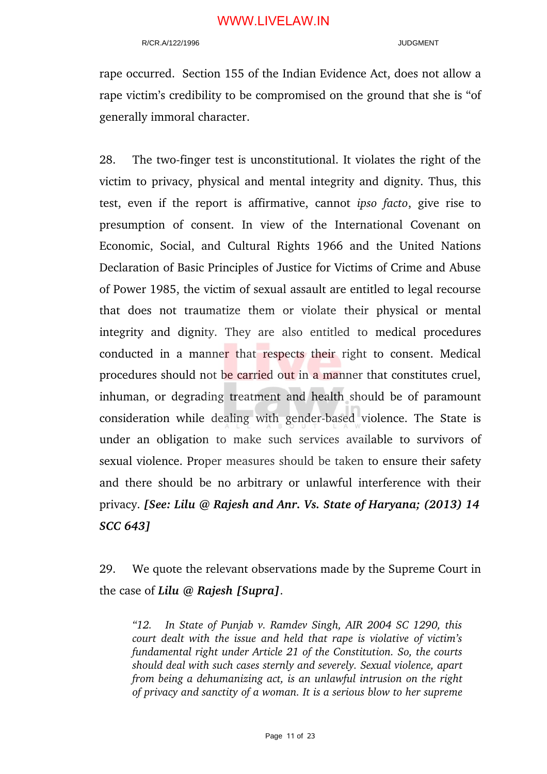#### R/CR.A/122/1996 JUDGMENT

rape occurred. Section 155 of the Indian Evidence Act, does not allow a rape victim's credibility to be compromised on the ground that she is "of generally immoral character.

28. The two-finger test is unconstitutional. It violates the right of the victim to privacy, physical and mental integrity and dignity. Thus, this test, even if the report is affirmative, cannot *ipso facto*, give rise to presumption of consent. In view of the International Covenant on Economic, Social, and Cultural Rights 1966 and the United Nations Declaration of Basic Principles of Justice for Victims of Crime and Abuse of Power 1985, the victim of sexual assault are entitled to legal recourse that does not traumatize them or violate their physical or mental integrity and dignity. They are also entitled to medical procedures conducted in a manner that respects their right to consent. Medical procedures should not be carried out in a manner that constitutes cruel, inhuman, or degrading treatment and health should be of paramount consideration while dealing with gender-based violence. The State is under an obligation to make such services available to survivors of sexual violence. Proper measures should be taken to ensure their safety and there should be no arbitrary or unlawful interference with their privacy. *[See: Lilu @ Rajesh and Anr. Vs. State of Haryana; (2013) 14 SCC 643]*

29. We quote the relevant observations made by the Supreme Court in the case of *Lilu @ Rajesh [Supra]*.

*"12. In State of Punjab v. Ramdev Singh, AIR 2004 SC 1290, this court dealt with the issue and held that rape is violative of victim's fundamental right under Article 21 of the Constitution. So, the courts should deal with such cases sternly and severely. Sexual violence, apart from being a dehumanizing act, is an unlawful intrusion on the right of privacy and sanctity of a woman. It is a serious blow to her supreme*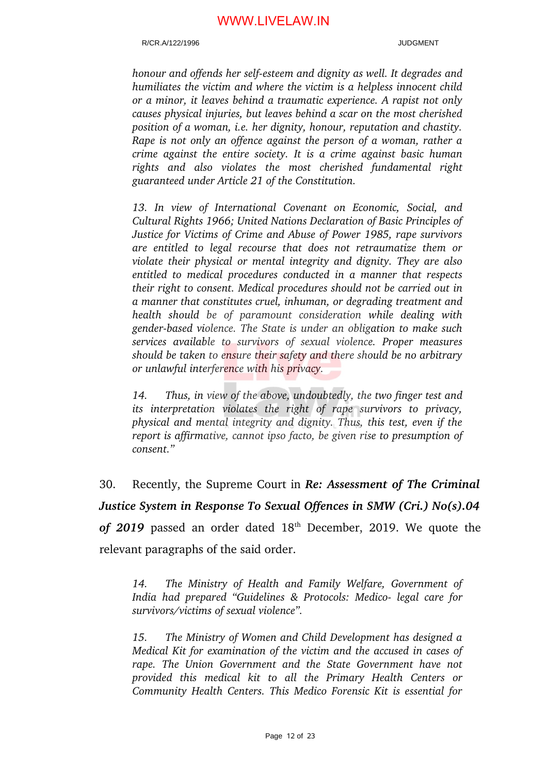#### R/CR.A/122/1996 JUDGMENT

*honour and offends her selfesteem and dignity as well. It degrades and humiliates the victim and where the victim is a helpless innocent child or a minor, it leaves behind a traumatic experience. A rapist not only causes physical injuries, but leaves behind a scar on the most cherished position of a woman, i.e. her dignity, honour, reputation and chastity. Rape is not only an offence against the person of a woman, rather a crime against the entire society. It is a crime against basic human rights and also violates the most cherished fundamental right guaranteed under Article 21 of the Constitution.* 

*13. In view of International Covenant on Economic, Social, and Cultural Rights 1966; United Nations Declaration of Basic Principles of Justice for Victims of Crime and Abuse of Power 1985, rape survivors are entitled to legal recourse that does not retraumatize them or violate their physical or mental integrity and dignity. They are also entitled to medical procedures conducted in a manner that respects their right to consent. Medical procedures should not be carried out in a manner that constitutes cruel, inhuman, or degrading treatment and health should be of paramount consideration while dealing with genderbased violence. The State is under an obligation to make such services available to survivors of sexual violence. Proper measures should be taken to ensure their safety and there should be no arbitrary or unlawful interference with his privacy.* 

*14. Thus, in view of the above, undoubtedly, the two finger test and its interpretation violates the right of rape survivors to privacy, physical and mental integrity and dignity. Thus, this test, even if the report is affirmative, cannot ipso facto, be given rise to presumption of consent."*

30. Recently, the Supreme Court in *Re: Assessment of The Criminal Justice System in Response To Sexual Offences in SMW (Cri.) No(s).04* of 2019 passed an order dated 18<sup>th</sup> December, 2019. We quote the relevant paragraphs of the said order.

*14. The Ministry of Health and Family Welfare, Government of India had prepared "Guidelines & Protocols: Medico- legal care for survivors/victims of sexual violence".*

*15. The Ministry of Women and Child Development has designed a Medical Kit for examination of the victim and the accused in cases of rape. The Union Government and the State Government have not provided this medical kit to all the Primary Health Centers or Community Health Centers. This Medico Forensic Kit is essential for*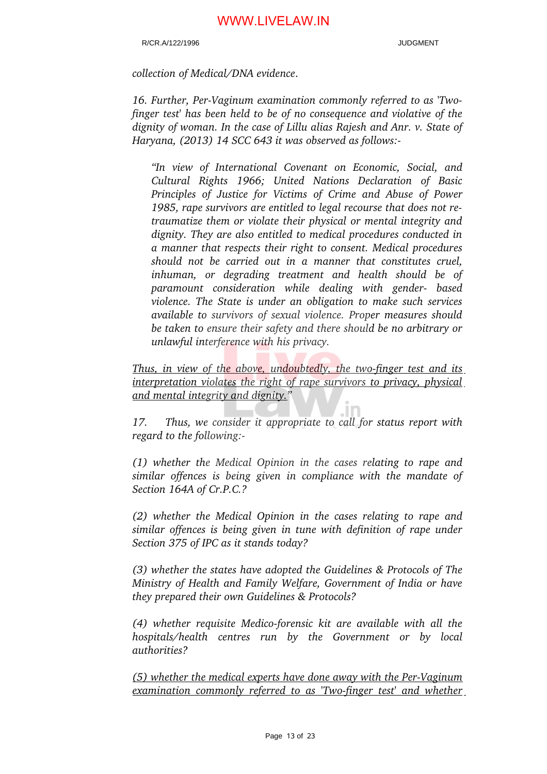#### R/CR A/122/1996 JUDGMENT

*collection of Medical/DNA evidence*.

16. Further, Per-Vaginum examination commonly referred to as 'Two*finger test' has been held to be of no consequence and violative of the dignity of woman. In the case of Lillu alias Rajesh and Anr. v. State of Haryana, (2013) 14 SCC 643 it was observed as follows:* 

*"In view of International Covenant on Economic, Social, and Cultural Rights 1966; United Nations Declaration of Basic Principles of Justice for Victims of Crime and Abuse of Power 1985, rape survivors are entitled to legal recourse that does not retraumatize them or violate their physical or mental integrity and dignity. They are also entitled to medical procedures conducted in a manner that respects their right to consent. Medical procedures should not be carried out in a manner that constitutes cruel, inhuman, or degrading treatment and health should be of paramount consideration while dealing with gender based violence. The State is under an obligation to make such services available to survivors of sexual violence. Proper measures should be taken to ensure their safety and there should be no arbitrary or unlawful interference with his privacy.*

*Thus, in view of the above, undoubtedly, the two-finger test and its interpretation violates the right of rape survivors to privacy, physical and mental integrity and dignity."* 

*17. Thus, we consider it appropriate to call for status report with regard to the following:* 

*(1) whether the Medical Opinion in the cases relating to rape and similar offences is being given in compliance with the mandate of Section 164A of Cr.P.C.?* 

*(2) whether the Medical Opinion in the cases relating to rape and similar offences is being given in tune with definition of rape under Section 375 of IPC as it stands today?* 

*(3) whether the states have adopted the Guidelines & Protocols of The Ministry of Health and Family Welfare, Government of India or have they prepared their own Guidelines & Protocols?* 

(4) whether requisite Medico-forensic kit are available with all the *hospitals/health centres run by the Government or by local authorities?* 

*(5) whether the medical experts have done away with the Per-Vaginum examination commonly referred to as 'Two-finger test' and whether*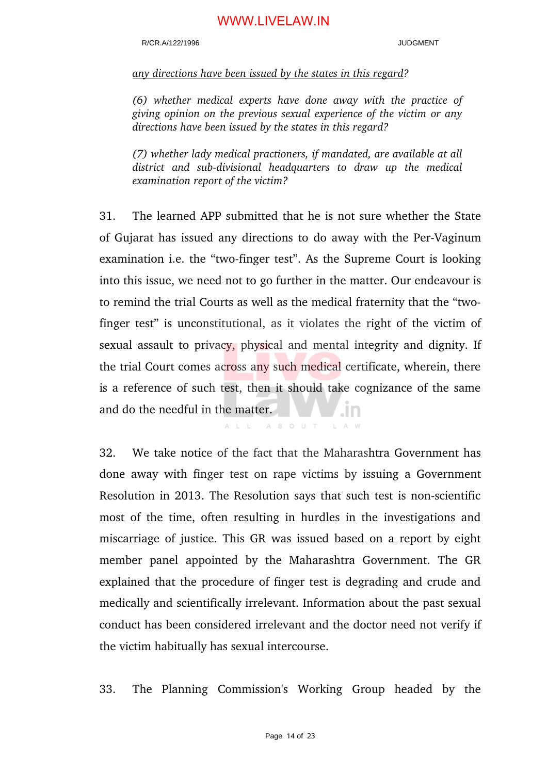#### R/CR.A/122/1996 JUDGMENT

#### *any directions have been issued by the states in this regard?*

*(6) whether medical experts have done away with the practice of giving opinion on the previous sexual experience of the victim or any directions have been issued by the states in this regard?* 

*(7) whether lady medical practioners, if mandated, are available at all* district and sub-divisional headquarters to draw up the medical *examination report of the victim?* 

31. The learned APP submitted that he is not sure whether the State of Gujarat has issued any directions to do away with the Per-Vaginum examination i.e. the "two-finger test". As the Supreme Court is looking into this issue, we need not to go further in the matter. Our endeavour is to remind the trial Courts as well as the medical fraternity that the "twofinger test" is unconstitutional, as it violates the right of the victim of sexual assault to privacy, physical and mental integrity and dignity. If the trial Court comes across any such medical certificate, wherein, there is a reference of such test, then it should take cognizance of the same and do the needful in the matter. .m

> A B O U T  $A \perp \perp$

32. We take notice of the fact that the Maharashtra Government has done away with finger test on rape victims by issuing a Government Resolution in 2013. The Resolution says that such test is non-scientific most of the time, often resulting in hurdles in the investigations and miscarriage of justice. This GR was issued based on a report by eight member panel appointed by the Maharashtra Government. The GR explained that the procedure of finger test is degrading and crude and medically and scientifically irrelevant. Information about the past sexual conduct has been considered irrelevant and the doctor need not verify if the victim habitually has sexual intercourse.

33. The Planning Commission's Working Group headed by the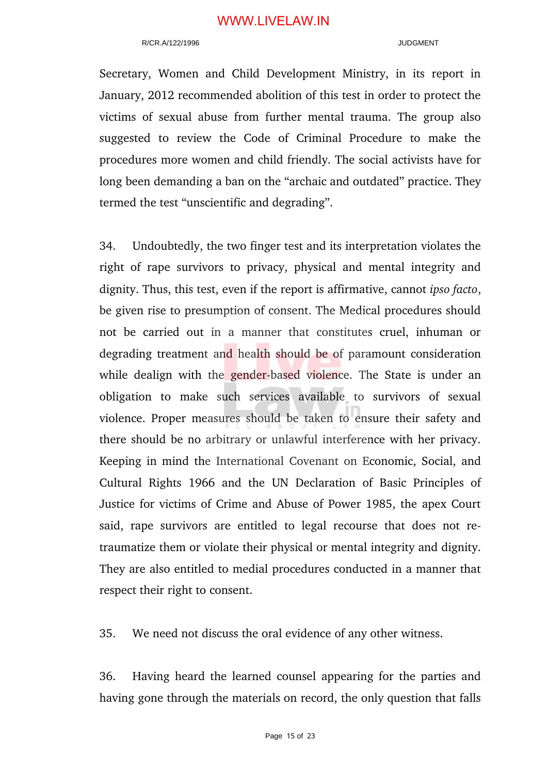#### R/CR A/122/1996 JUDGMENT

Secretary, Women and Child Development Ministry, in its report in January, 2012 recommended abolition of this test in order to protect the victims of sexual abuse from further mental trauma. The group also suggested to review the Code of Criminal Procedure to make the procedures more women and child friendly. The social activists have for long been demanding a ban on the "archaic and outdated" practice. They termed the test "unscientific and degrading".

34. Undoubtedly, the two finger test and its interpretation violates the right of rape survivors to privacy, physical and mental integrity and dignity. Thus, this test, even if the report is affirmative, cannot *ipso facto*, be given rise to presumption of consent. The Medical procedures should not be carried out in a manner that constitutes cruel, inhuman or degrading treatment and health should be of paramount consideration while dealign with the gender-based violence. The State is under an obligation to make such services available to survivors of sexual violence. Proper measures should be taken to ensure their safety and there should be no arbitrary or unlawful interference with her privacy. Keeping in mind the International Covenant on Economic, Social, and Cultural Rights 1966 and the UN Declaration of Basic Principles of Justice for victims of Crime and Abuse of Power 1985, the apex Court said, rape survivors are entitled to legal recourse that does not retraumatize them or violate their physical or mental integrity and dignity. They are also entitled to medial procedures conducted in a manner that respect their right to consent.

35. We need not discuss the oral evidence of any other witness.

36. Having heard the learned counsel appearing for the parties and having gone through the materials on record, the only question that falls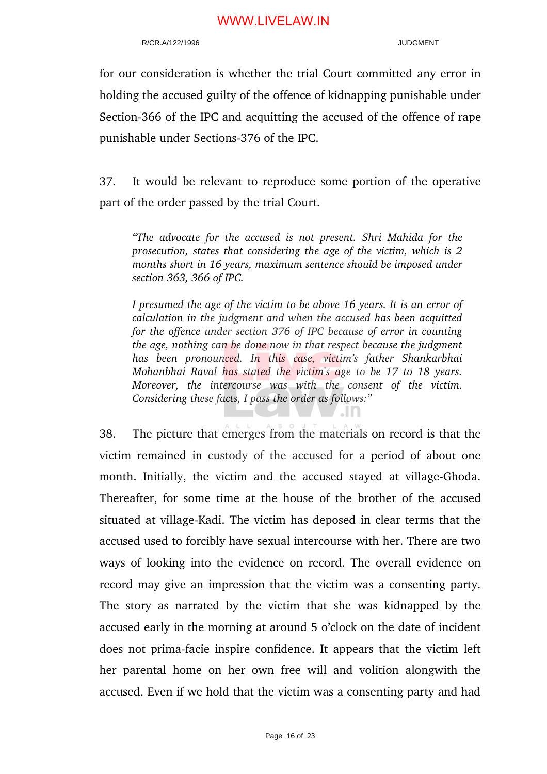#### R/CR.A/122/1996 JUDGMENT

for our consideration is whether the trial Court committed any error in holding the accused guilty of the offence of kidnapping punishable under Section-366 of the IPC and acquitting the accused of the offence of rape punishable under Sections-376 of the IPC.

37. It would be relevant to reproduce some portion of the operative part of the order passed by the trial Court.

*"The advocate for the accused is not present. Shri Mahida for the prosecution, states that considering the age of the victim, which is 2 months short in 16 years, maximum sentence should be imposed under section 363, 366 of IPC.*

*I presumed the age of the victim to be above 16 years. It is an error of calculation in the judgment and when the accused has been acquitted for the offence under section 376 of IPC because of error in counting the age, nothing can be done now in that respect because the judgment has been pronounced. In this case, victim's father Shankarbhai Mohanbhai Raval has stated the victim's age to be 17 to 18 years. Moreover, the intercourse was with the consent of the victim. Considering these facts, I pass the order as follows:"*

. In

38. The picture that emerges from the materials on record is that the victim remained in custody of the accused for a period of about one month. Initially, the victim and the accused stayed at village-Ghoda. Thereafter, for some time at the house of the brother of the accused situated at village-Kadi. The victim has deposed in clear terms that the accused used to forcibly have sexual intercourse with her. There are two ways of looking into the evidence on record. The overall evidence on record may give an impression that the victim was a consenting party. The story as narrated by the victim that she was kidnapped by the accused early in the morning at around 5 o'clock on the date of incident does not prima-facie inspire confidence. It appears that the victim left her parental home on her own free will and volition alongwith the accused. Even if we hold that the victim was a consenting party and had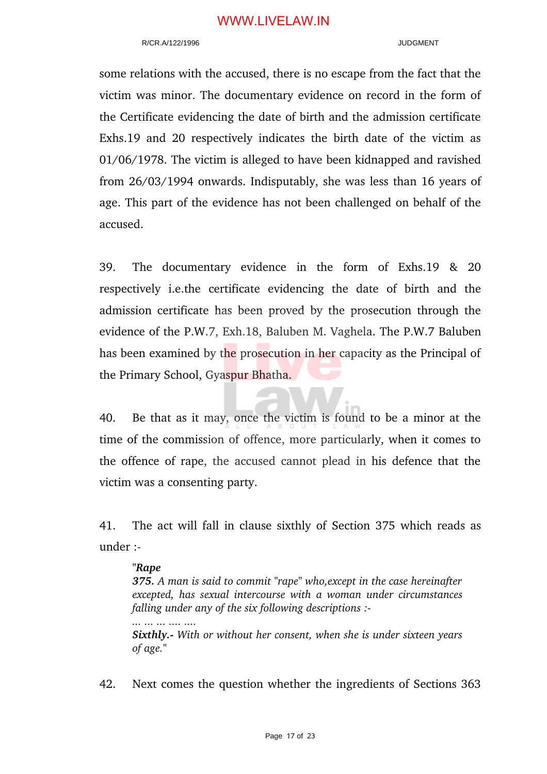#### R/CR.A/122/1996 JUDGMENT

some relations with the accused, there is no escape from the fact that the victim was minor. The documentary evidence on record in the form of the Certificate evidencing the date of birth and the admission certificate Exhs.19 and 20 respectively indicates the birth date of the victim as 01/06/1978. The victim is alleged to have been kidnapped and ravished from 26/03/1994 onwards. Indisputably, she was less than 16 years of age. This part of the evidence has not been challenged on behalf of the accused.

39. The documentary evidence in the form of Exhs.19 & 20 respectively *i.e.the* certificate evidencing the date of birth and the admission certificate has been proved by the prosecution through the evidence of the P.W.7, Exh.18, Baluben M. Vaghela. The P.W.7 Baluben has been examined by the prosecution in her capacity as the Principal of the Primary School, Gyaspur Bhatha.

40. Be that as it may, once the victim is found to be a minor at the time of the commission of offence, more particularly, when it comes to the offence of rape, the accused cannot plead in his defence that the victim was a consenting party.

41. The act will fall in clause sixthly of Section 375 which reads as under :

#### *"Rape*

*... ... ... .... ....* 

*375. A man is said to commit "rape" who,except in the case hereinafter excepted, has sexual intercourse with a woman under circumstances falling under any of the six following descriptions :* 

*Sixthly. With or without her consent, when she is under sixteen years of age."* 

42. Next comes the question whether the ingredients of Sections 363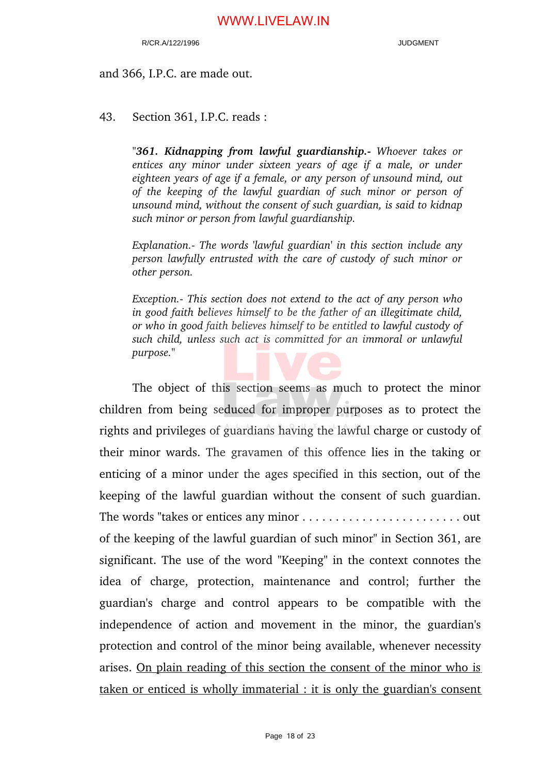#### and 366, I.P.C. are made out.

43. Section 361, I.P.C. reads :

*"361. Kidnapping from lawful guardianship. Whoever takes or entices any minor under sixteen years of age if a male, or under eighteen years of age if a female, or any person of unsound mind, out of the keeping of the lawful guardian of such minor or person of unsound mind, without the consent of such guardian, is said to kidnap such minor or person from lawful guardianship.*

*Explanation. The words 'lawful guardian' in this section include any person lawfully entrusted with the care of custody of such minor or other person.*

*Exception. This section does not extend to the act of any person who in good faith believes himself to be the father of an illegitimate child, or who in good faith believes himself to be entitled to lawful custody of such child, unless such act is committed for an immoral or unlawful purpose."*

The object of this section seems as much to protect the minor children from being seduced for improper purposes as to protect the rights and privileges of guardians having the lawful charge or custody of their minor wards. The gravamen of this offence lies in the taking or enticing of a minor under the ages specified in this section, out of the keeping of the lawful guardian without the consent of such guardian. The words "takes or entices any minor . . . . . . . . . . . . . . . . . . . . . . . . out of the keeping of the lawful guardian of such minor" in Section 361, are significant. The use of the word "Keeping" in the context connotes the idea of charge, protection, maintenance and control; further the guardian's charge and control appears to be compatible with the independence of action and movement in the minor, the guardian's protection and control of the minor being available, whenever necessity arises. On plain reading of this section the consent of the minor who is taken or enticed is wholly immaterial : it is only the guardian's consent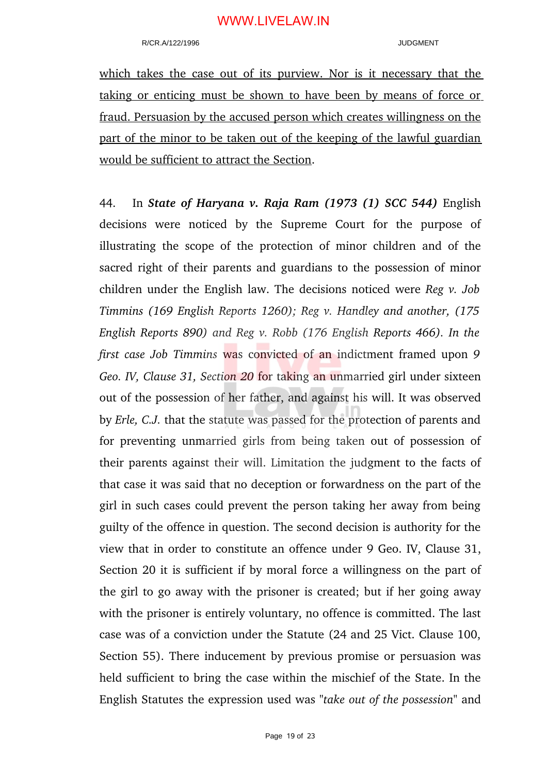which takes the case out of its purview. Nor is it necessary that the taking or enticing must be shown to have been by means of force or fraud. Persuasion by the accused person which creates willingness on the part of the minor to be taken out of the keeping of the lawful guardian would be sufficient to attract the Section.

44. In *State of Haryana v. Raja Ram (1973 (1) SCC 544)* English decisions were noticed by the Supreme Court for the purpose of illustrating the scope of the protection of minor children and of the sacred right of their parents and guardians to the possession of minor children under the English law. The decisions noticed were *Reg v. Job Timmins (169 English Reports 1260); Reg v. Handley and another, (175 English Reports 890) and Reg v. Robb (176 English Reports 466). In the first case Job Timmins* was convicted of an indictment framed upon *9 Geo. IV, Clause 31, Section 20* for taking an unmarried girl under sixteen out of the possession of her father, and against his will. It was observed by *Erle, C.J.* that the statute was passed for the protection of parents and for preventing unmarried girls from being taken out of possession of their parents against their will. Limitation the judgment to the facts of that case it was said that no deception or forwardness on the part of the girl in such cases could prevent the person taking her away from being guilty of the offence in question. The second decision is authority for the view that in order to constitute an offence under 9 Geo. IV, Clause 31, Section 20 it is sufficient if by moral force a willingness on the part of the girl to go away with the prisoner is created; but if her going away with the prisoner is entirely voluntary, no offence is committed. The last case was of a conviction under the Statute (24 and 25 Vict. Clause 100, Section 55). There inducement by previous promise or persuasion was held sufficient to bring the case within the mischief of the State. In the English Statutes the expression used was *"take out of the possession"* and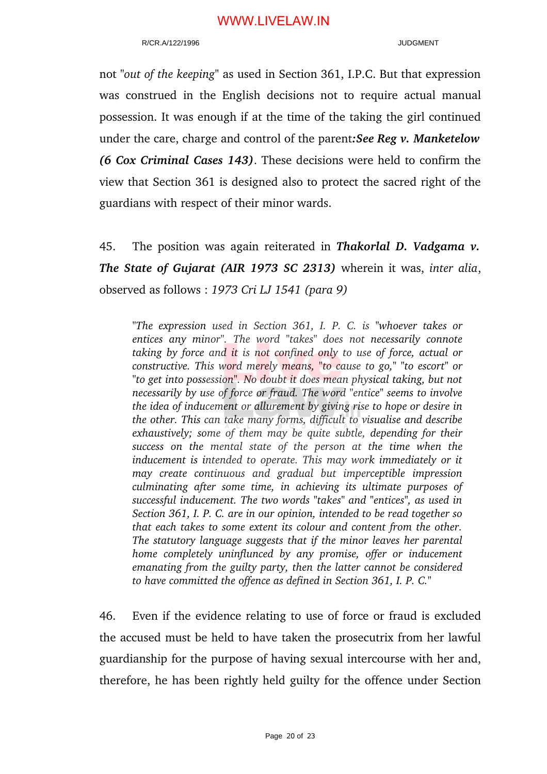#### R/CR.A/122/1996 JUDGMENT

not *"out of the keeping"* as used in Section 361, I.P.C. But that expression was construed in the English decisions not to require actual manual possession. It was enough if at the time of the taking the girl continued under the care, charge and control of the parent*:See Reg v. Manketelow (6 Cox Criminal Cases 143)*. These decisions were held to confirm the view that Section 361 is designed also to protect the sacred right of the guardians with respect of their minor wards.

45. The position was again reiterated in *Thakorlal D. Vadgama v. The State of Gujarat (AIR 1973 SC 2313)* wherein it was, *inter alia*, observed as follows : *1973 Cri LJ 1541 (para 9)*

*"The expression used in Section 361, I. P. C. is "whoever takes or entices any minor". The word "takes" does not necessarily connote taking by force and it is not confined only to use of force, actual or constructive. This word merely means, "to cause to go," "to escort" or "to get into possession". No doubt it does mean physical taking, but not necessarily by use of force or fraud. The word "entice" seems to involve the idea of inducement or allurement by giving rise to hope or desire in the other. This can take many forms, difficult to visualise and describe exhaustively; some of them may be quite subtle, depending for their success on the mental state of the person at the time when the inducement is intended to operate. This may work immediately or it may create continuous and gradual but imperceptible impression culminating after some time, in achieving its ultimate purposes of successful inducement. The two words "takes" and "entices", as used in Section 361, I. P. C. are in our opinion, intended to be read together so that each takes to some extent its colour and content from the other. The statutory language suggests that if the minor leaves her parental home completely uninflunced by any promise, offer or inducement emanating from the guilty party, then the latter cannot be considered to have committed the offence as defined in Section 361, I. P. C."*

46. Even if the evidence relating to use of force or fraud is excluded the accused must be held to have taken the prosecutrix from her lawful guardianship for the purpose of having sexual intercourse with her and, therefore, he has been rightly held guilty for the offence under Section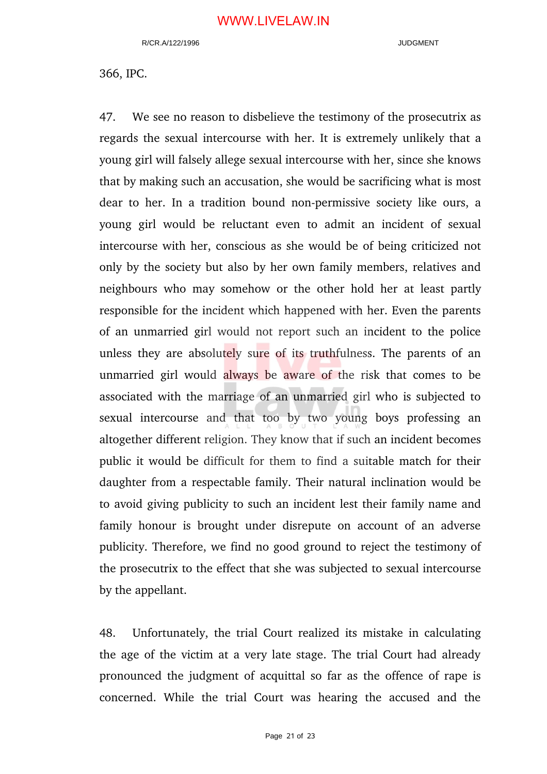366, IPC.

47. We see no reason to disbelieve the testimony of the prosecutrix as regards the sexual intercourse with her. It is extremely unlikely that a young girl will falsely allege sexual intercourse with her, since she knows that by making such an accusation, she would be sacrificing what is most dear to her. In a tradition bound non-permissive society like ours, a young girl would be reluctant even to admit an incident of sexual intercourse with her, conscious as she would be of being criticized not only by the society but also by her own family members, relatives and neighbours who may somehow or the other hold her at least partly responsible for the incident which happened with her. Even the parents of an unmarried girl would not report such an incident to the police unless they are absolutely sure of its truthfulness. The parents of an unmarried girl would always be aware of the risk that comes to be associated with the marriage of an unmarried girl who is subjected to sexual intercourse and that too by two young boys professing an altogether different religion. They know that if such an incident becomes public it would be difficult for them to find a suitable match for their daughter from a respectable family. Their natural inclination would be to avoid giving publicity to such an incident lest their family name and family honour is brought under disrepute on account of an adverse publicity. Therefore, we find no good ground to reject the testimony of the prosecutrix to the effect that she was subjected to sexual intercourse by the appellant.

48. Unfortunately, the trial Court realized its mistake in calculating the age of the victim at a very late stage. The trial Court had already pronounced the judgment of acquittal so far as the offence of rape is concerned. While the trial Court was hearing the accused and the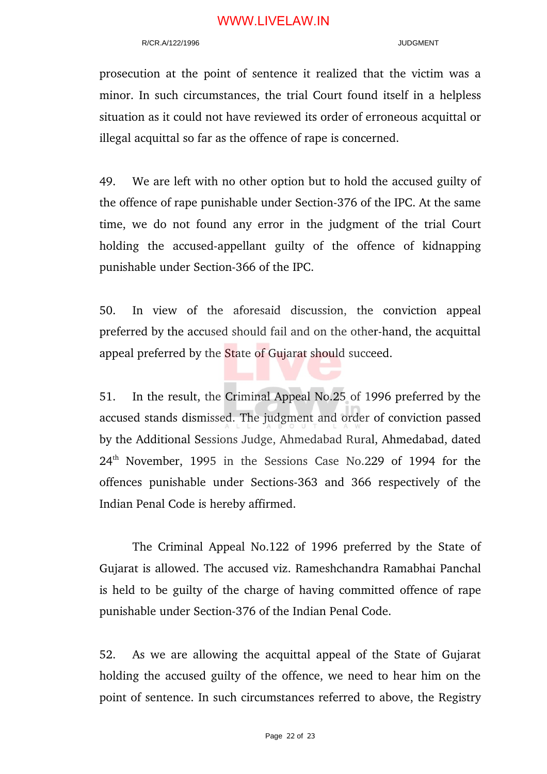#### R/CR A/122/1996 JUDGMENT

prosecution at the point of sentence it realized that the victim was a minor. In such circumstances, the trial Court found itself in a helpless situation as it could not have reviewed its order of erroneous acquittal or illegal acquittal so far as the offence of rape is concerned.

49. We are left with no other option but to hold the accused guilty of the offence of rape punishable under Section-376 of the IPC. At the same time, we do not found any error in the judgment of the trial Court holding the accused-appellant guilty of the offence of kidnapping punishable under Section-366 of the IPC.

50. In view of the aforesaid discussion, the conviction appeal preferred by the accused should fail and on the other-hand, the acquittal appeal preferred by the State of Gujarat should succeed.

51. In the result, the Criminal Appeal No.25 of 1996 preferred by the accused stands dismissed. The judgment and order of conviction passed by the Additional Sessions Judge, Ahmedabad Rural, Ahmedabad, dated  $24<sup>th</sup>$  November, 1995 in the Sessions Case No.229 of 1994 for the offences punishable under Sections-363 and 366 respectively of the Indian Penal Code is hereby affirmed.

The Criminal Appeal No.122 of 1996 preferred by the State of Gujarat is allowed. The accused viz. Rameshchandra Ramabhai Panchal is held to be guilty of the charge of having committed offence of rape punishable under Section-376 of the Indian Penal Code.

52. As we are allowing the acquittal appeal of the State of Gujarat holding the accused guilty of the offence, we need to hear him on the point of sentence. In such circumstances referred to above, the Registry